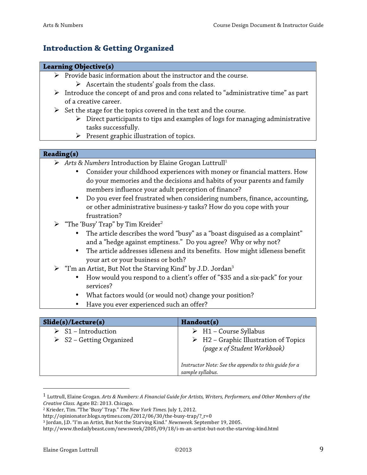## **Introduction & Getting Organized**

## **Learning Objective(s)**

- $\triangleright$  Provide basic information about the instructor and the course.
	- $\triangleright$  Ascertain the students' goals from the class.
- $\triangleright$  Introduce the concept of and pros and cons related to "administrative time" as part of a creative career.
- $\triangleright$  Set the stage for the topics covered in the text and the course.
	- $\triangleright$  Direct participants to tips and examples of logs for managing administrative tasks successfully.
	- $\triangleright$  Present graphic illustration of topics.

## **Reading(s)**

- ! *Arts & Numbers* Introduction by Elaine Grogan Luttrull1
	- Consider your childhood experiences with money or financial matters. How do your memories and the decisions and habits of your parents and family members influence your adult perception of finance?
	- Do you ever feel frustrated when considering numbers, finance, accounting, or other administrative business-y tasks? How do you cope with your frustration?
- $\triangleright$  "The 'Busy' Trap" by Tim Kreider<sup>2</sup>
	- The article describes the word "busy" as a "boast disguised as a complaint" and a "hedge against emptiness." Do you agree? Why or why not?
	- The article addresses idleness and its benefits. How might idleness benefit your art or your business or both?
- $\triangleright$  "I'm an Artist, But Not the Starving Kind" by J.D. Jordan<sup>3</sup>
	- How would you respond to a client's offer of "\$35 and a six-pack" for your services?
	- What factors would (or would not) change your position?
	- Have you ever experienced such an offer?

| Slide(s)/Lecture(s)                                                           | Handout(s)                                                                                                                                                                             |
|-------------------------------------------------------------------------------|----------------------------------------------------------------------------------------------------------------------------------------------------------------------------------------|
| $\triangleright$ S1 – Introduction<br>$\triangleright$ S2 – Getting Organized | $\triangleright$ H1 – Course Syllabus<br>$\triangleright$ H2 – Graphic Illustration of Topics<br>(page x of Student Workbook)<br>Instructor Note: See the appendix to this guide for a |
|                                                                               | sample syllabus.                                                                                                                                                                       |

<sup>&</sup>lt;sup>1</sup> Luttrull, Elaine Grogan. Arts & Numbers: A Financial Guide for Artists, Writers, Performers, and Other Members of the *Creative Class. Agate B2: 2013. Chicago.* 

"""""""""""""""""""""""""""""""""""""""""""""""""""""""

<sup>&</sup>lt;sup>2</sup> Krieder, Tim. "The 'Busy' Trap." The New York Times. July 1, 2012.

http://opinionator.blogs.nytimes.com/2012/06/30/the-busy-trap/?\_r=0

<sup>&</sup>lt;sup>3</sup> Jordan, J.D. "I'm an Artist, But Not the Starving Kind." Newsweek. September 19, 2005.

http://www.thedailybeast.com/newsweek/2005/09/18/i-m-an-artist-but-not-the-starving-kind.html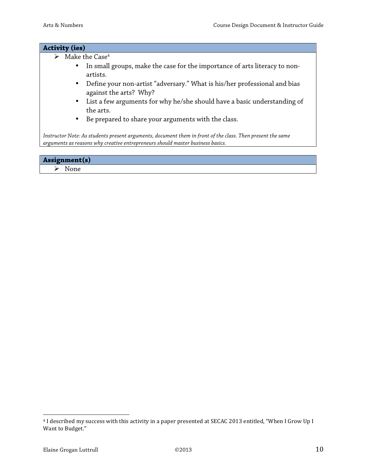## **Activity (ies)**

- $\blacktriangleright$  Make the Case<sup>4</sup>
	- In small groups, make the case for the importance of arts literacy to nonartists.
	- Define your non-artist "adversary." What is his/her professional and bias against the arts? Why?
	- List a few arguments for why he/she should have a basic understanding of the arts.
	- Be prepared to share your arguments with the class.

*Instructor Note: As students present arguments, document them in front of the class. Then present the same arguments as reasons why creative entrepreneurs should master business basics.*

## **Assignment(s)**  $\triangleright$  None

"""""""""""""""""""""""""""""""""""""""""""""""""""""""

<sup>&</sup>lt;sup>4</sup> I described my success with this activity in a paper presented at SECAC 2013 entitled, "When I Grow Up I Want to Budget."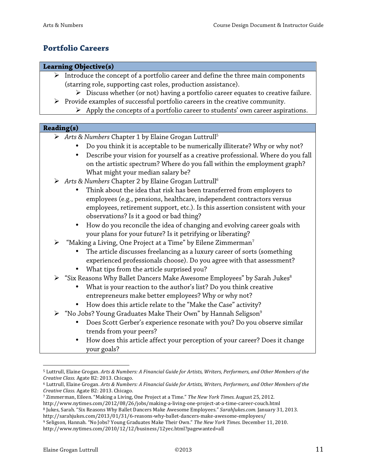# **Portfolio Careers**

## **Learning Objective(s)**

- $\triangleright$  Introduce the concept of a portfolio career and define the three main components (starring role, supporting cast roles, production assistance).
	- $\triangleright$  Discuss whether (or not) having a portfolio career equates to creative failure.
- $\triangleright$  Provide examples of successful portfolio careers in the creative community.
	- $\triangleright$  Apply the concepts of a portfolio career to students' own career aspirations.

## **Reading(s)**

- ! *Arts & Numbers* Chapter 1 by Elaine Grogan Luttrull5
	- Do you think it is acceptable to be numerically illiterate? Why or why not?
	- Describe your vision for yourself as a creative professional. Where do you fall on the artistic spectrum? Where do you fall within the employment graph? What might your median salary be?
- ! *Arts & Numbers* Chapter 2 by Elaine Grogan Luttrull6
	- Think about the idea that risk has been transferred from employers to employees (e.g., pensions, healthcare, independent contractors versus employees, retirement support, etc.). Is this assertion consistent with your observations? Is it a good or bad thing?
	- How do you reconcile the idea of changing and evolving career goals with your plans for your future? Is it petrifying or liberating?
- "Making a Living, One Project at a Time" by Eilene Zimmerman<sup>7</sup>
	- The article discusses freelancing as a luxury career of sorts (something experienced professionals choose). Do you agree with that assessment?
	- What tips from the article surprised you?
- $\triangleright$  "Six Reasons Why Ballet Dancers Make Awesome Employees" by Sarah Jukes<sup>8</sup>
	- What is your reaction to the author's list? Do you think creative entrepreneurs make better employees? Why or why not?
	- How does this article relate to the "Make the Case" activity?
- $\triangleright$  "No Jobs? Young Graduates Make Their Own" by Hannah Seligson<sup>9</sup>
	- Does Scott Gerber's experience resonate with you? Do you observe similar trends from your peers?
	- How does this article affect your perception of your career? Does it change your goals?

- <sup>7</sup> Zimmerman, Eileen. "Making a Living, One Project at a Time." The New York Times. August 25, 2012.
- http://www.nytimes.com/2012/08/26/jobs/making-a-living-one-project-at-a-time-career-couch.html

<sup>&</sup>quot;"""""""""""""""""""""""""""""""""""""""""""""""""""""" 5 Luttrull, Elaine Grogan. Arts & Numbers: A Financial Guide for Artists, Writers, Performers, and Other Members of the *Creative Class. Agate B2: 2013. Chicago.* 

 $6$  Luttrull, Elaine Grogan. Arts & Numbers: A Financial Guide for Artists, Writers, Performers, and Other Members of the *Creative Class. Agate B2: 2013. Chicago.* 

<sup>&</sup>lt;sup>8</sup> Jukes, Sarah. "Six Reasons Why Ballet Dancers Make Awesome Employees." SarahJukes.com. January 31, 2013. http://sarahjukes.com/2013/01/31/6-reasons-why-ballet-dancers-make-awesome-employees/

<sup>&</sup>lt;sup>9</sup> Seligson, Hannah. "No Jobs? Young Graduates Make Their Own." The New York Times. December 11, 2010. http://www.nytimes.com/2010/12/12/business/12yec.html?pagewanted=all